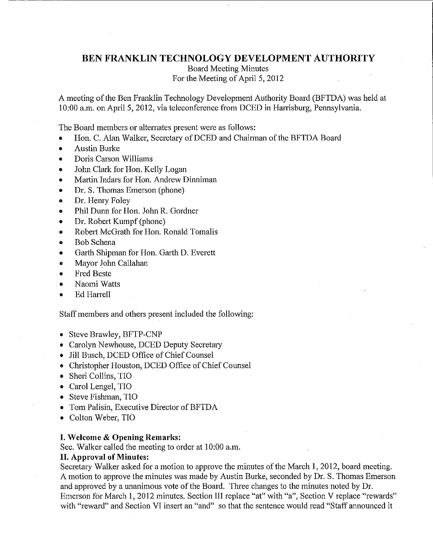## **BEN FRANKLIN TECHNOLOGY DEVELOPMENT AUTHORITY**

Board Meeting Minutes For the Meeting of April 5, 2012

A meeting of the Ben Franklin Technology Development Authority Board (BFTDA) was held at 10:00 a.m. on April 5, 2012, via teleconference from DCED in Harrisburg, Pennsylvania.

The Board members or alternates present were as follows:

- Hon. C. Alan Walker, Secretary of DCED and Chairman of the BFTDA Board
- Austin Burke
- Doris Carson Williams
- John Clark for Hon. Kelly Logan
- Martin Indars for Hon. Andrew Dinniman
- Dr. S. Thomas Emerson (phone)
- Dr. Hemy Foley
- Phil Dunn for Hon. John R. Gordner
- Dr. Robert Kumpf (phone)
- Robert McGrath for Hon. Ronald Tomalis
- Bob Schena
- Garth Shipman for Hon. Garth D. Everett
- Mayor John Callahan
- Fred Beste
- Naomi Watts
- Ed Harrell

Staff members and others present included the following:

- Steve Brawley, BFTP-CNP
- Carolyn Newhouse, DCED Deputy Secretary
- Jill Busch, DCED Office of Chief Counsel
- **<sup>o</sup>**Christopher Houston, DCED Office of Chief Counsel
- Sheri Collins, TIO
- Carol Lengel, TIO
- Steve Fishman, TIO
- Tom Palisin, Executive Director of BFTDA ·
- Colton Weber, TIO

#### **I. Welcome & Opening Remarks:**

Sec. Walker called the meeting to order at 10:00 a.m.

## **II. Approval of Minutes:**

Secretary Walker asked for a motion to approve the minutes of the March 1, 2012, board meeting. A motion to approve the minutes was made by Austin Burke, seconded by Dr. S. Thomas Emerson and approved by a unanimous vote of the Board. Three changes to the minutes noted by Dr. Emerson for March 1, 2012 minutes. Section III replace "at" with "a", Section V replace "rewards" with "reward" and Section VI insert an "and" so that the sentence would read "Staff announced it